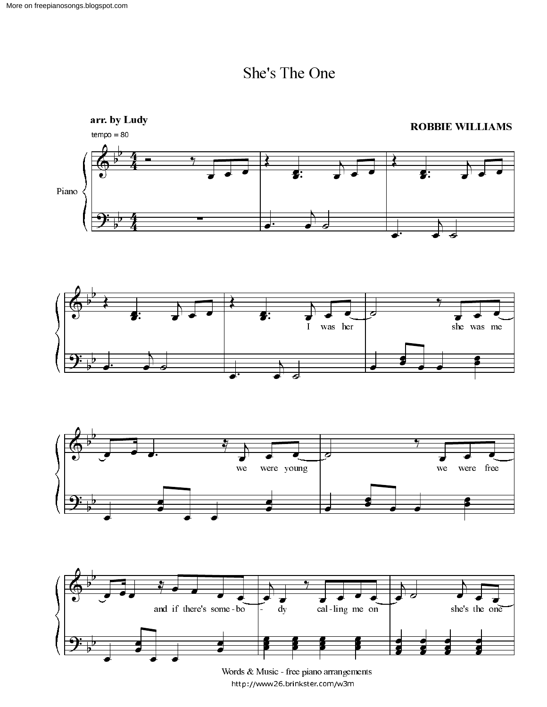





 $\frac{1}{2}$  http://www.26 brinkster.com/w3m and the contract of the contract of the contract of the contract of the contract of the contract of the contract of the contract of the contract of the contract of the contract of the contract of the contract of the contra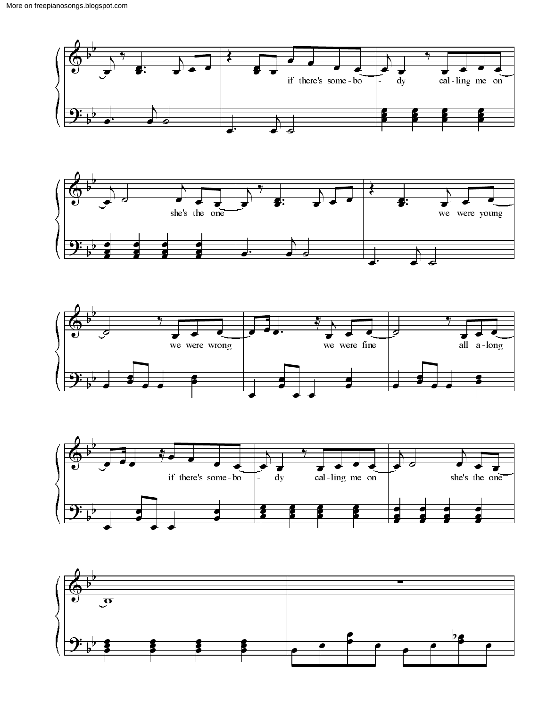







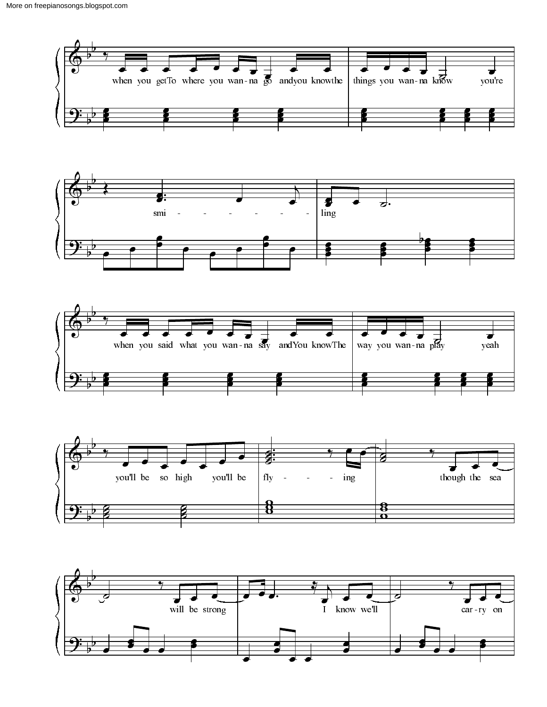







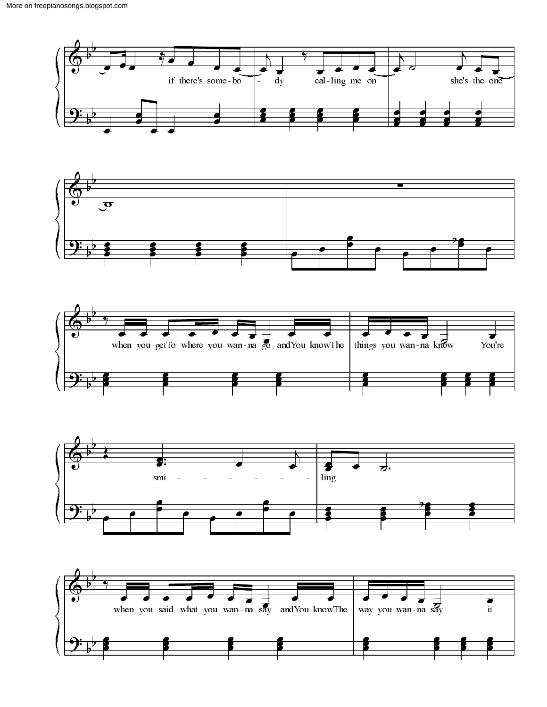







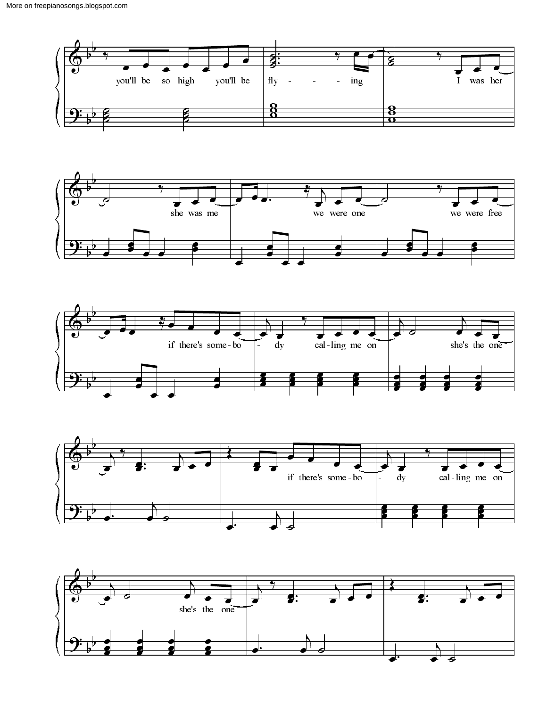